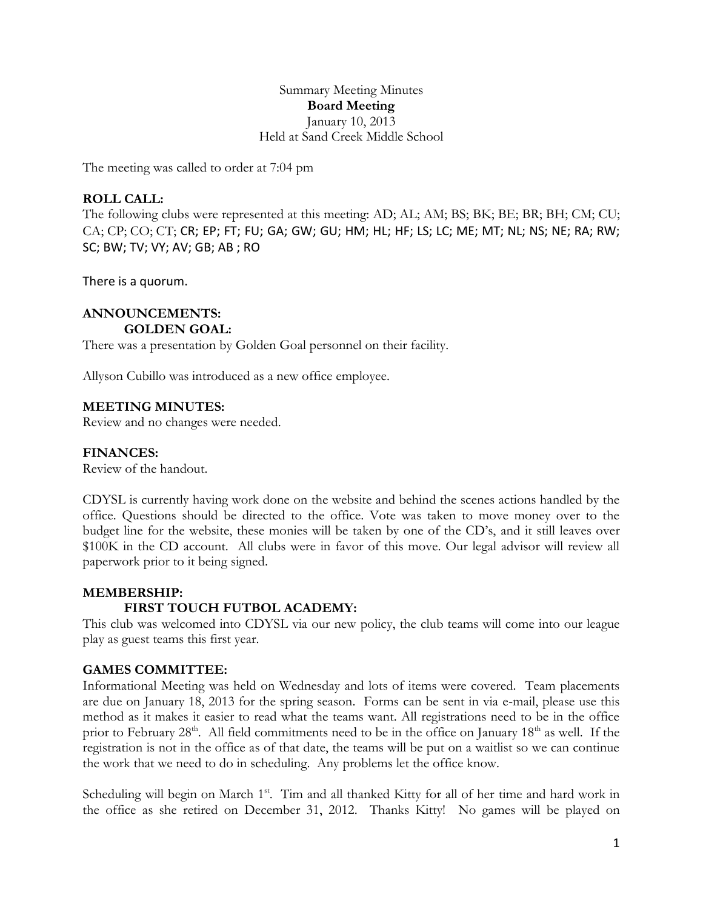Summary Meeting Minutes **Board Meeting** January 10, 2013 Held at Sand Creek Middle School

The meeting was called to order at 7:04 pm

### **ROLL CALL:**

The following clubs were represented at this meeting: AD; AL; AM; BS; BK; BE; BR; BH; CM; CU; CA; CP; CO; CT; CR; EP; FT; FU; GA; GW; GU; HM; HL; HF; LS; LC; ME; MT; NL; NS; NE; RA; RW; SC; BW; TV; VY; AV; GB; AB ; RO

There is a quorum.

#### **ANNOUNCEMENTS: GOLDEN GOAL:**

There was a presentation by Golden Goal personnel on their facility.

Allyson Cubillo was introduced as a new office employee.

#### **MEETING MINUTES:**

Review and no changes were needed.

#### **FINANCES:**

Review of the handout.

CDYSL is currently having work done on the website and behind the scenes actions handled by the office. Questions should be directed to the office. Vote was taken to move money over to the budget line for the website, these monies will be taken by one of the CD's, and it still leaves over \$100K in the CD account. All clubs were in favor of this move. Our legal advisor will review all paperwork prior to it being signed.

#### **MEMBERSHIP:**

#### **FIRST TOUCH FUTBOL ACADEMY:**

This club was welcomed into CDYSL via our new policy, the club teams will come into our league play as guest teams this first year.

#### **GAMES COMMITTEE:**

Informational Meeting was held on Wednesday and lots of items were covered. Team placements are due on January 18, 2013 for the spring season. Forms can be sent in via e-mail, please use this method as it makes it easier to read what the teams want. All registrations need to be in the office prior to February 28<sup>th</sup>. All field commitments need to be in the office on January 18<sup>th</sup> as well. If the registration is not in the office as of that date, the teams will be put on a waitlist so we can continue the work that we need to do in scheduling. Any problems let the office know.

Scheduling will begin on March 1<sup>st</sup>. Tim and all thanked Kitty for all of her time and hard work in the office as she retired on December 31, 2012. Thanks Kitty! No games will be played on